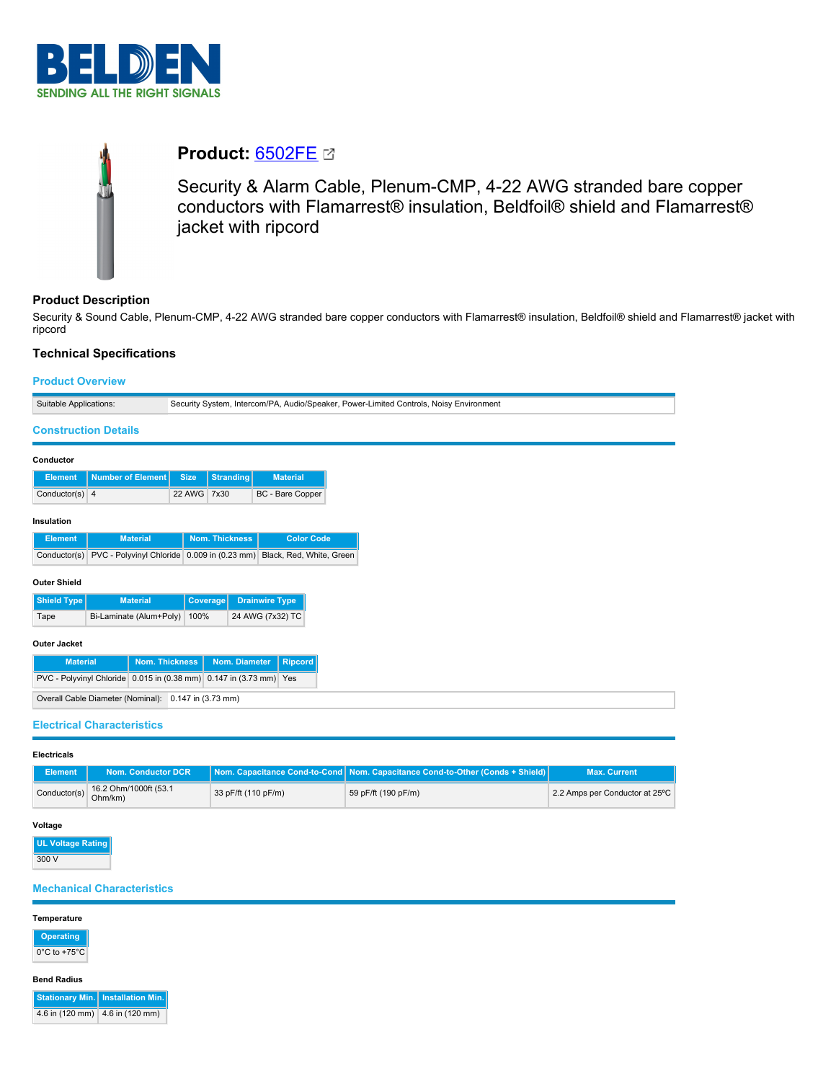



# **Product: [6502FE](https://catalog.belden.com/index.cfm?event=pd&p=PF_6502FE&tab=downloads) &**

Security & Alarm Cable, Plenum-CMP, 4-22 AWG stranded bare copper conductors with Flamarrest® insulation, Beldfoil® shield and Flamarrest® jacket with ripcord

# **Product Description**

Security & Sound Cable, Plenum-CMP, 4-22 AWG stranded bare copper conductors with Flamarrest® insulation, Beldfoil® shield and Flamarrest® jacket with ripcord

## **Technical Specifications**

# **Product Overview** Suitable Applications: Security System, Intercom/PA, Audio/Speaker, Power-Limited Controls, Noisy Environment **Construction Details Conductor Element** Number of Element Size Stranding Materia Conductor(s) 4 22 AWG 7x30 BC - Bare Copper **Insulation Element Material Nom. Thickness Color Code** Conductor(s) PVC - Polyvinyl Chloride 0.009 in (0.23 mm) Black, Red, White, Green **Outer Shield Shield Type Material Coverage Drainwire Type** Tape Bi-Laminate (Alum+Poly) 100% 24 AWG (7x32) TC **Outer Jacket Material Nom. Thickness Nom. Diameter Ripcord**  $\boxed{\text{PVC - Polyvinyl Chloride} \boxed{0.015 \text{ in } (0.38 \text{ mm})} \boxed{0.147 \text{ in } (3.73 \text{ mm})} \boxed{\text{Yes}}$ Overall Cable Diameter (Nominal): 0.147 in (3.73 mm) **Electrical Characteristics**

**Electricals**

| Element      | Nom. Conductor DCR               |                     | Nom. Capacitance Cond-to-Cond Nom. Capacitance Cond-to-Other (Conds + Shield) | <b>Max. Current</b>            |
|--------------|----------------------------------|---------------------|-------------------------------------------------------------------------------|--------------------------------|
| Conductor(s) | 16.2 Ohm/1000ft (53.1<br>Ohm/km) | 33 pF/ft (110 pF/m) | 59 pF/ft (190 pF/m)                                                           | 2.2 Amps per Conductor at 25°C |

## **Voltage**

**UL Voltage Rating** 300 V

### **Mechanical Characteristics**

#### **Temperature**

# **Operating**

 $0^{\circ}$ C to +75 $^{\circ}$ C

#### **Bend Radius**

**Stationary Min. Installation Min.** 4.6 in (120 mm) 4.6 in (120 mm)